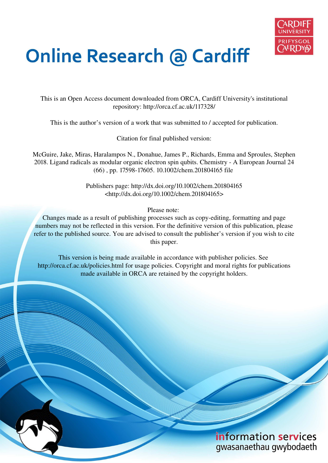

# **Online Research @ Cardiff**

This is an Open Access document downloaded from ORCA, Cardiff University's institutional repository: http://orca.cf.ac.uk/117328/

This is the author's version of a work that was submitted to / accepted for publication.

Citation for final published version:

McGuire, Jake, Miras, Haralampos N., Donahue, James P., Richards, Emma and Sproules, Stephen 2018. Ligand radicals as modular organic electron spin qubits. Chemistry - A European Journal 24 (66) , pp. 17598-17605. 10.1002/chem.201804165 file

> Publishers page: http://dx.doi.org/10.1002/chem.201804165 <http://dx.doi.org/10.1002/chem.201804165>

> > Please note:

Changes made as a result of publishing processes such as copy-editing, formatting and page numbers may not be reflected in this version. For the definitive version of this publication, please refer to the published source. You are advised to consult the publisher's version if you wish to cite this paper.

This version is being made available in accordance with publisher policies. See http://orca.cf.ac.uk/policies.html for usage policies. Copyright and moral rights for publications made available in ORCA are retained by the copyright holders.

> information services gwasanaethau gwybodaeth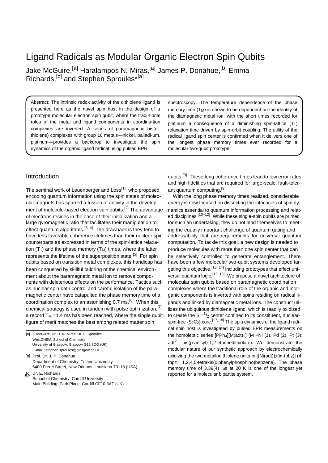# Ligand Radicals as Modular Organic Electron Spin Qubits

Jake McGuire,<sup>[a]</sup> Haralampos N. Miras,<sup>[a]</sup> James P. Donahue,<sup>[b]</sup> Emma Richards, <sup>[c]</sup> and Stephen Sproules<sup>\*[a]</sup>

Abstract: The intrinsic redox activity of the dithiolene ligand is presented here as the novel spin host in the design of a prototype molecular electron spin qubit, where the tradi-tional roles of the metal and ligand components in coordina-tion complexes are inverted. A series of paramagnetic bis(dithiolene) complexes with group 10 metals—nickel, palladi-um, platinum—provides a backdrop to investigate the spin dynamics of the organic ligand radical using pulsed EPR

spectroscopy. The temperature dependence of the phase memory time  $(T_M)$  is shown to be dependent on the identity of the diamagnetic metal ion, with the short times recorded for platinum a consequence of a diminishing spin-lattice  $(T_1)$ relaxation time driven by spin-orbit coupling. The utility of the radical ligand spin center is confirmed when it delivers one of the longest phase memory times ever recorded for a molecular two-qubit prototype.

# **Introduction**

The seminal work of Leuenberger and Loss<sup>[1]</sup> who proposed encoding quantum information using the spin states of molec-<br>With the long phase memory times realized, considerable radiation ular magnets has spurred a frisson of activity in the develop- energy is now focused on dissecting the intricacies of spin dyment of molecule-based electron spin qubits.<sup>[2]</sup> The advantage namics essential to quantum information processing and relatof electrons resides in the ease of their initialization and a large gyromagnetic ratio that facilitates their manipulation to for such an undertaking, they do not lend themselves to meeteffect quantum algorithms.  $[3, 4]$  The drawback is they tend to effect quantum algorithms.<sup>[3, 4]</sup> The drawback is they tend to ing the equally important challenge of quantum gating and<br>have less favorable coherence lifetimes than their nuclear spin addressability that are requirements counterparts as expressed in terms of the spin-lattice relaxa- computation. To tackle this goal, a new design is needed to tion  $(T_1)$  and the phase memory  $(T_M)$  times, where the latter produce molecules with more than one spin center that can represents the lifetime of the superposition state.<sup>[5]</sup> For spin qubits based on transition metal complexes, this handicap has been conquered by skillful tailoring of the chemical environ- geting this objective, [13, 14] including prototypes that effect uniment about the paramagnetic metal ion to remove compo-<br>nents with deleterious effects on the performance. Tactics such molecular spin qubits based on paramagnetic coordination nents with deleterious effects on the performance. Tactics such as nuclear spin bath control and careful isolation of the para- complexes where the traditional role of the organic and inormagnetic center have catapulted the phase memory time of a ganic components is inverted with spins residing on radical licoordination complex to an astonishing  $0.7 \text{ ms}$ .<sup>[6]</sup> When this chemical strategy is used in tandem with pulse optimization,  $[7]$  lizes the ubiquitous dithiolene ligand, which is readily oxidized a record  $T_M = 1.4$  ms has been reached, where the single qubit figure of merit matches the best among related matter spin spin-free  $\{S_2C_2\}$  core.<sup>[17, 18]</sup> The spin dynamics of the ligand radi-

[a] J. McGuire, Dr. H. N. Miras, Dr. S. Sproules WestCHEM, School of Chemistry University of Glasgow, Glasgow G12 8QQ (UK) E-mail : stephen.sproules@glasgow.ac.uk

[b] Prof. Dr. J. P. Donahue Department of Chemistry, Tulane University 6400 Freret Street, New Orleans, Louisiana 70118 (USA) [c] Dr. E. Richards

School of Chemistry, Cardiff University Main Building, Park Place, Cardiff CF10 3AT (UK) qubits.<sup>[8]</sup> These long coherence times lead to low error rates and high fidelities that are required for large-scale, fault-tolerant quantum computing.<sup>[9]</sup>

ed disciplines.  $[10-12]$  While these single-spin qubits are primed addressability that are requirements for universal quantum be selectively controlled to generate entanglement. There have been a few molecular two-qubit systems developed tar- $\overline{\text{v}}$  versal quantum logic.<sup>[15, 16]</sup> We propose a novel architecture of gands and linked by diamagnetic metal ions. The construct uti- $1/2$  center confined to its constituent, nuclearcal spin host is investigated by pulsed EPR measurements on the homoleptic series  $[PPh_4][M(\text{adt})_2]$  (M =Ni (1), Pd (2), Pt (3); adt<sup>2</sup> =bis(p-anisyl)-1,2-ethenedithiolate). We demonstrate the modular nature of our synthetic approach by electrochemically oxidizing the two metallodithiolene units in  $[\text{Ni}(\text{adt})\text{2(m-tpbz)}]$  (4; tbpz =1,2,4,5-tetrakis(diphenylphosphino)benzene). The phase memory time of 3.39(4) ms at 20 K is one of the longest yet reported for a molecular bipartite system.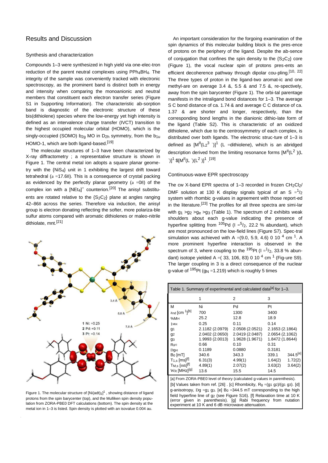# Results and Discussion

#### Synthesis and characterization

Compounds 1–3 were synthesized in high yield via one-elec-tron reduction of the parent neutral complexes using PPh<sub>4</sub>BH<sub>4</sub>. The integrity of the sample was conveniently tracked with electronic spectroscopy, as the prominent band is distinct both in energy and intensity when comparing the monoanionic and neutral members that constituent each electron transfer series (Figure S1 in Supporting Information). The characteristic ab-sorption band is diagnostic of the electronic structure of these bis(dithiolene) species where the low-energy yet high intensity is defined as an intervalence charge transfer (IVCT) transition to the highest occupied molecular orbital (HOMO), which is the singly-occupied (SOMO) b<sub>2g</sub> MO in  $D_{2h}$  symmetry, from the b<sub>1u</sub> HOMO-1, which are both ligand-based.<sup>[19]</sup>

The molecular structures of 1–3 have been characterized by X-ray diffractometry ; a representative structure is shown in Figure 1. The central metal ion adopts a square planar geometry with the {NiS4} unit in 1 exhibiting the largest drift toward tetrahedral ( $a = 17.68$ ). This is a consequence of crystal packing as evidenced by the perfectly planar geometry  $(a = 08)$  of the complex ion with a [NEt<sub>4</sub>]<sup>+</sup> counterion.<sup>[20]</sup> The anisyl substituents are rotated relative to the  $\{S_2C_2\}$  plane at angles ranging 42–868 across the series. Therefore via induction, the anisyl group is electron donating reflecting the softer, more polariza-ble sulfur atoms compared with aromatic dithiolenes or maleo-nitrile dithiolate, mnt.[21]



Figure 1. The molecular structure of  $[Ni(\text{adt})_2]^1$  , showing distance of ligand protons from the spin barycenter (top), and the Mulliken spin density population from ZORA-PBE0 DFT calculations (bottom). The spin density at the metal ion in 1–3 is listed. Spin density is plotted with an isovalue 0.004 au.

An important consideration for the forgoing examination of the spin dynamics of this molecular building block is the pres-ence of protons on the periphery of the ligand. Despite the ab-sence of conjugation that confines the spin density to the  $\{S_2C_2\}$  core (Figure 1), the vocal nuclear spin of protons pres-ents an efficient decoherence pathway through dipolar cou-pling.<sup>[10, 22]</sup> The three types of proton in the ligand-two aromat-ic and one methyl-are on average 3.4 &, 5.5 & and 7.5 &, re-spectively, away from the spin barycenter (Figure 1). The orbi-tal parentage manifests in the intraligand bond distances for 1–3. The average S C bond distance of ca. 1.74 & and average C C distance of ca. 1.37 & are shorter and longer, respectively, than the corresponding bond lengths in the dianionic dithio-late form of the ligand (Table S2). This is characteristic of an oxidized dithiolene, which due to the centrosymmetry of each complex, is distributed over both ligands. The electronic struc-ture of 1–3 is defined as  $[M^{II}(L_2^3)^1]$  (L =dithiolene), which is an abridged description derived from the limiting resonance forms  $[M^{II}(L^2)](L)$  $\cdot$ )]<sup>1</sup> \$[M<sup>II</sup>(L ·)(L<sup>2</sup>)]<sup>1</sup> .<sup>[19]</sup>

#### Continuous-wave EPR spectroscopy

The cw X-band EPR spectra of  $1-3$  recorded in frozen  $CH_2Cl_2/$ DMF solution at 130 K display signals typical of an S  $=$ <sup>1</sup>/<sub>2</sub> system with rhombic g-values in agreement with those report-ed in the literature.[23] The profiles for all three spectra are simi-lar with  $g_1 > g_2 > g_8 > g_3$  (Table 1). The spectrum of 2 exhibits weak shoulders about each g-value indicating the presence of hyperfine splitting from  $105Pd$  (I  $=$   $5/2$ , 22.2 % abundant), which are most pronounced on the low-field lines (Figure S7). Spec-tral simulation was achieved with A =(9.0, 5.9, 4.6) 0 10  $^{4}$  cm <sup>1</sup>. A more prominent hyperfine interaction is observed in the spectrum of 3, where coupling to the  $^{195}$ Pt (I = $^{1}/_{2}$ , 33.8 % abundant) isotope yielded A =  $(33, 106, 83)$  0 10<sup>4</sup> cm<sup>1</sup> (Fig-ure S9). The larger coupling in 3 is a direct consequence of the nuclear q-value of  $195$ Pt (g<sub>N</sub> =1.219) which is roughly 5 times

| Table 1. Summary of experimental and calculated data <sup>[a]</sup> for 1-3. |                 |                 |                               |
|------------------------------------------------------------------------------|-----------------|-----------------|-------------------------------|
|                                                                              | 1               | 2               | 3                             |
| М                                                                            | Ni              | Pd              | Pt                            |
| znd [cm 1][b]                                                                | 700             | 1300            | 3400                          |
| %M <sub>[a]</sub>                                                            | 25.2            | 12.8            | 18.9                          |
| 1 M[a]                                                                       | 0.25            | 0.11            | 0.14                          |
| g <sub>1</sub>                                                               | 2.1182 (2.0979) | 2.0508 (2.0521) | 2.1653 (2.1864)               |
| g <sub>2</sub>                                                               | 2.0402 (2.0650) | 2.0419 (2.0487) | 2.0654 (2.1062)               |
| g <sub>3</sub>                                                               | 1.9993 (2.0013) | 1.9628 (1.9671) | 1.8472 (1.8644)               |
| Rg[c]                                                                        | 0.66            | 0.10            | 0.31                          |
| $Dq$ [d]                                                                     | 0.1189          | 0.0880          | 0.3181                        |
| $B_0$ [mT]                                                                   | 340.6           | 343.3           | 344.5 <sup>[e]</sup><br>339.1 |
| $T_{1,s}$ [ms] <sup>[f]</sup>                                                | 6.31(3)         | 4.99(1)         | 1.72(2)<br>1.64(2)            |
| $T_{M,s}$ [ms] <sup>[f]</sup>                                                | 4.89(1)         | 2.07(2)         | 3.63(2)<br>3.64(2)            |
| W <sub>R</sub> [MHz] <sup>[g]</sup>                                          | 13.6            | 15.5            | 14.5                          |

[a] From ZORA-PBE0 level of theory (calculated g-values in parenthesis). [b] Values taken from ref. [26] . [c] Rhombicity,  $R_q = (q_1 q_2)/(q_1 q_3)$ . [d] g-anisotropy, Dg =g1 g3. [e]  $Bo = 344.5$  mT corresponding to the high field hyperfine line of g2 (see Figure S16). [f] Relaxation time at 10 K (error given in parenthesis). [g] Rabi frequency from nutation experiment at 10 K and 6 dB microwave attenuation.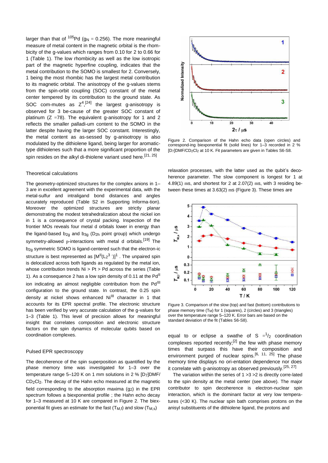larger than that of  $105Pd$  (g<sub>N</sub> = 0.256). The more meaningful measure of metal content in the magnetic orbital is the rhombicity of the g-values which ranges from 0.10 for 2 to 0.66 for 1 (Table 1). The low rhombicity as well as the low isotropic part of the magnetic hyperfine coupling, indicates that the metal contribution to the SOMO is smallest for 2. Conversely, 1 being the most rhombic has the largest metal contribution to its magnetic orbital. The anisotropy of the g-values stems from the spin-orbit coupling (SOC) constant of the metal center tempered by its contribution to the ground state. As SOC com-mutes as  $Z^4$ ,<sup>[24]</sup> the largest g-anisotropy is observed for 3 be-cause of the greater SOC constant of platinum  $(Z = 78)$ . The equivalent g-anisotropy for 1 and 2 reflects the smaller palladi-um content to the SOMO in the latter despite having the larger SOC constant. Interestingly, the metal content as as-sessed by g-anisotropy is also modulated by the dithiolene ligand, being larger for aromatictype dithiolenes such that a more significant proportion of the spin resides on the alkyl di-thiolene variant used here.<sup>[21, 25]</sup>

### Theoretical calculations

The geometry-optimized structures for the complex anions in 1– 3 are in excellent agreement with the experimental data, with the metal-sulfur and intraligand bond distances and angles accurately reproduced (Table S2 in Supporting Informa-tion). Moreover the optimized structures are strictly planar demonstrating the modest tetrahedralization about the nickel ion in 1 is a consequence of crystal packing. Inspection of the frontier MOs reveals four metal d orbitals lower in energy than the ligand-based  $b_{2q}$  and  $b_{3q}$  (D<sub>2h</sub> point group) which undergo symmetry-allowed p-interactions with metal d orbitals.<sup>[19]</sup> The b<sub>2q</sub> symmetric SOMO is ligand-centered such that the electron-ic structure is best represented as  $[M^{II}(L_2^3$  ')]<sup>1</sup>. The unpaired spin is delocalized across both ligands as regulated by the metal ion, whose contribution trends Ni > Pt > Pd across the series (Table 1). As a consequence 2 has a low spin density of 0.11 at the  $Pd<sup>II</sup>$ ion indicating an almost negligible contribution from the Pd<sup>III</sup> configuration to the ground state. In contrast, the 0.25 spin density at nickel shows enhanced Ni<sup>III</sup> character in 1 that accounts for its EPR spectral profile. The electronic structure has been verified by very accurate calculation of the g-values for 1–3 (Table 1). This level of precision allows for meaningful insight that correlates composition and electronic structure factors on the spin dynamics of molecular qubits based on coordination complexes.

#### Pulsed EPR spectroscopy

The decoherence of the spin superposition as quantified by the phase memory time was investigated for 1–3 over the temperature range 5–120 K on 1 mm solutions in 2 % [D7]DMF/ CD2Cl2. The decay of the Hahn echo measured at the magnetic field corresponding to the absorption maxima  $(q_2)$  in the EPR spectrum follows a biexponential profile ; the Hahn echo decay for 1–3 measured at 10 K are compared in Figure 2. The biexponential fit gives an estimate for the fast  $(T_Mf)$  and slow  $(T_Ms)$ 



Figure 2. Comparison of the Hahn echo data (open circles) and correspond-ing biexponential fit (solid lines) for 1–3 recorded in 2 % [D7]DMF/CD<sub>2</sub>Cl<sub>2</sub> at 10 K. Fit parameters are given in Tables S6-S8.

relaxation processes, with the latter used as the qubit's decoherence parameter. The slow component is longest for 1 at 4.89(1) ms, and shortest for 2 at 2.07(2) ms, with 3 residing between these times at 3.63(2) ms (Figure 3). These times are



Figure 3. Comparison of the slow (top) and fast (bottom) contributions to phase memory time (T<sub>M</sub>) for 1 (squares), 2 (circles) and 3 (triangles) over the temperature range 5–120 K. Error bars are based on the standard deviation of the fit (Tables S6-S8).

equal to or eclipse a swathe of S  $=$ <sup>1</sup>/<sub>2</sub> coordination complexes reported recently;<sup>[2]</sup> the few with phase memory times that surpass this have their composition and environment purged of nuclear spins.<sup>[6, 11, 25]</sup> The phase memory time displays no ori-entation dependence nor does it correlate with g-anisotropy as observed previously.<sup>[25, 27]</sup>

The variation within the series of 1 >3 >2 is directly corre-lated to the spin density at the metal center (see above). The major contributor to spin decoherence is electron-nuclear spin interaction, which is the dominant factor at very low temperatures (<30 K). The nuclear spin bath comprises protons on the anisyl substituents of the dithiolene ligand, the protons and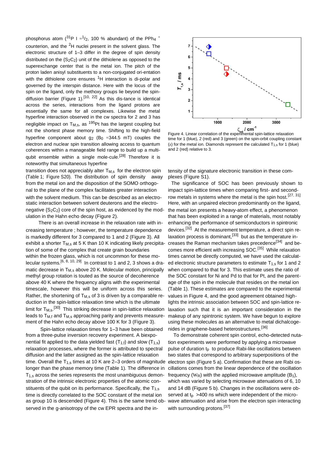phosphorus atom  $(^{31}P I = 1/2, 100 %$  abundant) of the PPh<sub>4</sub> <sup>+</sup> counterion, and the 2H nuclei present in the solvent glass. The electronic structure of 1–3 differ in the degree of spin density distributed on the  ${S_2C_2}$  unit of the dithiolene as opposed to the superexchange center that is the metal ion. The pitch of the proton laden anisyl substituents to a non-conjugated ori-entation with the dithiolene core ensures  ${}^{1}H$  interaction is di-polar and governed by the interspin distance. Here with the locus of the spin on the ligand, only the methoxy groups lie beyond the spindiffusion barrier (Figure 1).<sup>[10, 22]</sup> As this dis-tance is identical across the series, interactions from the ligand protons are essentially the same for all complexes. Likewise the metal hyperfine interaction observed in the cw spectra for 2 and 3 has negligible impact on  $T_{M,s}$ , as <sup>195</sup>Pt has the largest coupling but not the shortest phase memory time. Shifting to the high-field hyperfine component about  $q_2$  (B<sub>0</sub> = 344.5 mT) couples the electron and nuclear spin transition allowing access to quantum coherences within a manageable field range to build up a multiqubit ensemble within a single mole-cule.<sup>[28]</sup> Therefore it is noteworthy that simultaneous hyperfine

transition does not appreciably alter  $T_{M,s}$  for the electron spin tensity of the signature electronic transition in these com-(Table 1; Figure S20). The distribution of spin density away plexes (Figure S1). from the metal ion and the disposition of the SOMO orthogo- The significance of SOC has been previously shown to nal to the plane of the complex facilitates greater interaction impact spin-lattice times when comparing first- and secondwith the solvent medium. This can be described as an electro- row metals in systems where the metal is the spin host.<sup>[27, 31]</sup> static interaction between solvent deuterons and the electro- Here, with an unpaired electron predominantly on the ligand, negative  ${S_2C_2}$  core of the spin host, as evidenced by the mod- the metal ion presents a heavy-atom effect, a phenomenon ulation in the Hahn echo decay (Figure 2). that has been exploited in a range of materials, most notably

creasing temperature ; however, the temperature dependence is markedly different for 3 compared to 1 and 2 (Figure 3). All exhibit a shorter T<sub>M,s</sub> at 5 K than 10 K indicating likely precipita- creases the Raman mechanism takes precedence<sup>[34]</sup> and betion of some of the complex that create grain boundaries comes more efficient with increasing SOC.<sup>[35]</sup> While relaxation<br>within the frozen glass, which is not uncommon for these mo-<br>times cannot be directly computed, we h within the frozen glass, which is not uncommon for these molecular systems.  $[6, 8, 10, 29]$  In contrast to 1 and 2, 3 shows a dramatic decrease in  $T_{M,s}$  above 20 K. Molecular motion, principally when compared to that for 3. This estimate uses the ratio of methyl group rotation is touted as the source of decoherence the SOC constant for Ni and Pd to that for Pt, and the parentabove 40 K where the frequency aligns with the experimental age of the spin in the molecule that resides on the metal ion timescale, however this will be uniform across this series. (Table 1). These estimates are compared to the experimental Rather, the shortening of  $T_{M,s}$  of 3 is driven by a comparable re-values in Figure 4, and the good agreement obtained highduction in the spin-lattice relaxation time which is the ultimate lights the intrinsic association between SOC and spin-lattice relimit for T<sub>M,s</sub>.<sup>[30]</sup> leads to  $T_{M,f}$  and  $T_{M,s}$  approaching parity and prevents measure- makeup of any spintronic system. We have begun to explore ment of the Hahn echo decay above 100 K for 3 (Figure 3). using these molecules as an alterna

from a three-pulse inversion recovery experiment. A biexpo- To demonstrate coherent spin control, echo-detected nutanential fit applied to the data yielded fast  $(T_{1,i})$  and slow  $(T_{1,s})$  tion experiments were performed by applying a microwave relaxation processes, where the former is attributed to spectral pulse of duration  $t<sub>p</sub>$  to produce Rabi-like oscillations between diffusion and the latter assigned as the spin-lattice relaxation two states that correspond to arbitrary superpositions of the time. Overall the  $T_{1,s}$  times at 10 K are 2-3 orders of magnitude electron spin (Figure 5 a). Confirmation that these are Rabi oslonger than the phase memory time (Table 1). The difference in cillations comes from the linear dependence of the oscillation  $T_{1,s}$  across the series represents the most unambiguous demon-frequency (W<sub>R</sub>) with the applied microwave amplitude (B<sub>1</sub>), stration of the intrinsic electronic properties of the atomic con- which was varied by selecting microwave attenuations of 6, 10 stituents of the qubit on its performance. Specifically, the  $T_{1,s}$  and 14 dB (Figure 5 b). Changes in the oscillations were obtime is directly correlated to the SOC constant of the metal ion served at  $t<sub>0</sub> > 400$  ns which were independent of the microas group 10 is descended (Figure 4). This is the same trend ob- wave attenuation and arise from the electron spin interacting served in the g-anisotropy of the cw EPR spectra and the in-<br>with surrounding protons.<sup>[37]</sup>



time for 1 (blue), 2 (red) and 3 (green) on the spin-orbit coupling constant ( $z$ ) for the metal ion. Diamonds represent the calculated  $T_{1,s}$  for 1 (blue) and 2 (red) relative to 3.

There is an overall increase in the relaxation rate with in- enhancing the performance of semiconductors in spintronic devices.<sup>[32]</sup> At the measurement temperature, a direct spin relaxation process is dominant.<sup>[33]</sup> but as the temperature incomes more efficient with increasing SOC.<sup>[35]</sup> While relaxation ed electronic structure parameters to estimate  $T_{1,s}$  for 1 and 2 laxation such that it is an important consideration in the using these molecules as an alternative to metal dichalcoge-Spin-lattice relaxation times for 1–3 have been obtained nides in graphene-based heterostructures.<sup>[36]</sup>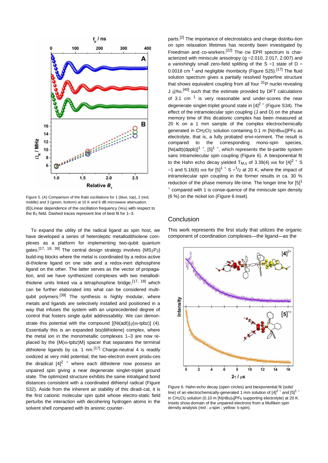

Figure 5. (A) Comparison of the Rabi oscillations for 1 (blue, top), 2 (red, middle) and 3 (green, bottom) at 10 K and 6 dB microwave attenuation. (B) Linear dependence of the oscillation frequency (WR) with respect to the B1 field. Dashed traces represent line of best fit for 1–3.

To expand the utility of the radical ligand as spin host, we have developed a series of heteroleptic metallodithiolene complexes as a platform for implementing two-qubit quantum gates.<sup>[17, 18, 38]</sup> The central design strategy involves  $\{MS_2P_2\}$ build-ing blocks where the metal is coordinated by a redox-active di-thiolene ligand on one side and a redox-inert diphosphine ligand on the other. The latter serves as the vector of propagation, and we have synthesized complexes with two metallodithiolene units linked via a tetraphosphine bridge.<sup>[17, 18]</sup> which can be further elaborated into what can be considered multiqubit polymers.<sup>[39]</sup> The synthesis is highly modular, where metals and ligands are selectively installed and positioned in a way that infuses the system with an unprecedented degree of control that fosters single qubit addressability. We can demonstrate this potential with the compound [{Ni(adt)}2(m-tpbz)] (4). Essentially this is an expanded bis(dithiolene) complex, where the metal ion in the monometallic complexes 1–3 are now replaced by the {M(m-tpbz)M} spacer that separates the terminal dithiolene ligands by ca. 1 nm.<sup>[17]</sup> Charge-neutral 4 is readily oxidized at very mild potential; the two-electron event produ-ces the diradical  $[4]^2$  + where each dithiolene now possess an unpaired spin giving a near degenerate singlet-triplet ground state. The optimized structure exhibits the same intraligand bond distances consistent with a coordinated dithienyl radical (Figure S32). Aside from the inherent air stability of this diradi-cal, it is the first cationic molecular spin qubit whose electro-static field perturbs the interaction with decohering hydrogen atoms in the solvent shell compared with its anionic counterparts.<sup>[2]</sup> The importance of electrostatics and charge distribu-tion on spin relaxation lifetimes has recently been investigated by Freedman and co-workers.<sup>[22]</sup> The cw EPR spectrum is characterized with miniscule anisotropy (g =2.010, 2.017, 2.007) and a vanishingly small zero-field splitting of the S =1 state of D = 0.0018 cm  $^1$  and negligible rhombicity (Figure S25).<sup>[17]</sup> The fluid solution spectrum gives a partially resolved hyperfine structure that shows equivalent coupling from all four  $31P$  nuclei revealing J @hn.<sup>[40]</sup> such that the estimate provided by DFT calculations of 3.1 cm  $1$  is very reasonable and under-scores the near degenerate singlet-triplet ground state in  $[4]^{2+}$  (Figure S34). The effect of the intramolecular spin coupling (J and D) on the phase memory time of this dicationic complex has been measured at 20 K on a 1 mm sample of the complex electrochemically generated in  $CH_2Cl_2$  solution containing 0.1 m  $[N(nBu4)]PF_6$  as electrolyte, that is, a fully protiated envi-ronment. The result is compared to the corresponding mono-spin species, [Ni(adt)(dppb)]<sup>1</sup> +, [5]<sup>1</sup> +, which represents the bi-partite system sans intramolecular spin coupling (Figure 6). A biexponential fit to the Hahn echo decay yielded T<sub>M,s</sub> of 3.39(4) ms for  $[4]^2$  + S =1 and 5.16(6) ms for [5]<sup>1 +</sup> S =<sup>1</sup>/<sub>2</sub> at 20 K, where the impact of intramolecular spin coupling in the former results in ca. 30 % reduction of the phase memory life-time. The longer time for  $[5]$ <sup>1</sup> + compared with 1 is conse-quence of the miniscule spin density (6 %) on the nickel ion (Figure 6 inset).

# **Conclusion**

This work represents the first study that utilizes the organic component of coordination complexes—the ligand—as the



Figure 6. Hahn-echo decay (open circles) and biexponential fit (solid line) of an electrochemically-generated 1 mm solution of  $[4]^{2+}$  and  $[5]^{1+}$ in CH2Cl2 solution (0.10 m [N(nBu)4]PF6 supporting electrolyte) at 20 K. Insets show domain of the unpaired electrons from a Mulliken spin density analysis (red : a-spin ; yellow: b-spin).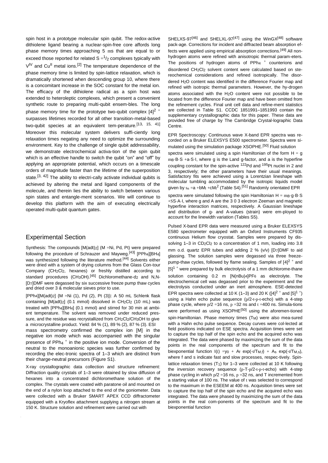spin host in a prototype molecular spin qubit. The redox-active dithiolene ligand bearing a nuclear-spin-free core affords long phase memory times approaching 5 ms that are equal to or exceed those reported for related  $S = \frac{1}{2}$  complexes typically with V<sup>IV</sup> and Cu<sup>II</sup> metal ions.<sup>[2]</sup> The temperature dependence of the phase memory time is limited by spin-lattice relaxation, which is dramatically shortened when descending group 10, where there is a concomitant increase in the SOC constant for the metal ion. The efficacy of the dithiolene radical as a spin host was extended to heteroleptic complexes, which present a convenient synthetic route to preparing multi-qubit ensem-bles. The long phase memory time for the prototype two-qubit complex  $[4]^2$  + surpasses lifetimes recorded for all other transition-metal-based two-qubit species at an equivalent tem-perature.[13, 15, 41] Moreover this molecular system delivers suffi-ciently long relaxation times negating any need to optimize the surrounding environment. Key to the challenge of single qubit addressability, we demonstrate electrochemical activa-tion of the spin qubit which is an effective handle to switch the qubit "on" and "off" by applying an appropriate potential, which occurs on a timescale orders of magnitude faster than the lifetime of the superposition state.<sup>[3, 42]</sup> The ability to electri-cally activate individual qubits is achieved by altering the metal and ligand components of the molecule, and therein lies the ability to switch between various spin states and entangle-ment scenarios. We will continue to develop this platform with the aim of executing electrically operated multi-qubit quantum gates.

# Experimental Section

Synthesis: The compounds [M(adt)2] (M =Ni, Pd, Pt) were prepared following the procedure of Schrauzer and Mayweg.[43] [PPh4][BH4] was synthesized following the literature method.<sup>[44]</sup> Solvents either were dried with a system of drying columns from the Glass Con-tour Company (CH2Cl2, hexanes) or freshly distilled according to standard procedures (CH<sub>3</sub>OH).<sup>[45]</sup> Dichloromethane-d<sub>2</sub> and N,N-[D7]DMF were degassed by six successive freeze pump thaw cycles and dried over 3 & molecular sieves prior to use.

[PPh4][M(adt)2] {M =Ni (1), Pd (2), Pt (3)}: A 50 mL Schlenk flask containing [M(adt)2] (0.1 mmol) dissolved in CH2Cl2 (10 mL) was treated with [PPh4][BH4] (0.1 mmol) and stirred for 30 min at ambient temperature. The solvent was removed under reduced pressure, and the residue was recrystallized from CH<sub>2</sub>Cl<sub>2</sub>/CH<sub>3</sub>OH to give a microcrystalline product. Yield: 84 % (1), 89 % (2), 87 % (3). ESI mass spectrometry confirmed the complex ion [M] in the negative ion mode which was accompanied with the singular presence of  $PPh_4$ <sup>+</sup> in the positive ion mode. Conversion of the

neutral to the monoanionic species was further confirmed by recording the elec-tronic spectra of 1–3 which are distinct from their charge-neutral precursors (Figure S1).

X-ray crystallographic data collection and structure refinement: Diffraction quality crystals of 1–3 were obtained by slow diffusion of hexanes into a concentrated dichloromethane solution of the complex. The crystals were coated with paratone oil and mounted on the end of a nylon loop attached to the end of the goniometer. Data were collected with a Bruker SMART APEX CCD diffractometer equipped with a Kryoflex attachment supplying a nitrogen stream at 150 K. Structure solution and refinement were carried out with

SHELXS-97<sup>[46]</sup> and SHELXL-97<sup>[47]</sup> using the WinGX<sup>[48]</sup> software pack-age. Corrections for incident and diffracted beam absorption effects were applied using empirical absorption corrections.[49] All nonhydrogen atoms were refined with anisotropic thermal param-eters. The positions of hydrogen atoms of  $PPh<sub>4</sub>$  + counterions and disordered CH2Cl2 solvent content were calculated based on stereochemical considerations and refined isotropically. The disordered H2O content was identified in the difference Fourier map and refined with isotropic thermal parameters. However, the hy-drogen atoms associated with the H2O content were not possible to be located from the difference Fourier map and have been omitted from the refinement cycles. Final unit cell data and refine-ment statistics are collected in Table S1. [CCDC 1](https://summary.ccdc.cam.ac.uk/structure-summary?doi=10.1002/chem201804165)851991–1851993 contain the supplementary crystallographic data for this paper. These data are provided free of charge by [The Cambridge Crystal-lographic Data](http://www.ccdc.cam.ac.uk/)  [Centre.](http://www.ccdc.cam.ac.uk/) 

EPR Spectroscopy: Continuous wave X-band EPR spectra was recorded on a Bruker ELEXSYS E500 spectrometer. Spectra were simulated using the simulation package XSOPHE.<sup>[50]</sup> Fluid solution

spectra were simulated using a spin Hamiltonian of the form  $H = g$ mB·B·S +a·S·I, where g is the Land g-factor, and a is the hyperfine coupling constant for the spin-active <sup>122</sup>Pd and <sup>195</sup>Pt nuclei in 2 and 3, respectively; the other parameters have their usual meanings. Satisfactory fits were achieved using a Lorentzian lineshape with molecular tumbling accommodated by the isotropic liquids model given by  $s_n = a + bM_1 + cM_1^2$  (Table S4).<sup>[51]</sup> Randomly orientated EPR

spectra were simulated following the spin Hamiltonian  $H = mB·g·B·S$ +SS·A·I, where g and A are the 3 0 3 electron Zeeman and magnetic hyperfine interaction matrices, respectively. A Gaussian lineshape and distribution of g- and A-values (strain) were em-ployed to account for the linewidth variation (Tables S5).

Pulsed X-band EPR data were measured using a Bruker ELEXSYS E580 spectrometer equipped with an Oxford Instruments CF935 continuous Helium flow cryostat. Samples were prepared by dissolving 1-3 in CD<sub>2</sub>Cl<sub>2</sub> to a concentration of 1 mm, loading into 3.8 mm o.d. quartz EPR tubes and adding 2 % (v/v) [D7]DMF to aid glassing. The solution samples were degassed via three freezepump-thaw cycles, followed by flame sealing. Samples of  $[4]^{2+}$  and  $[5]$ <sup>1+</sup> were prepared by bulk electrolysis of a 1 mm dichlorome-thane solution containing  $0.2$  m  $[N(nBu)_4]PF_6$  as electrolyte. The electrochemical cell was degassed prior to the experiment and the electrolysis conducted under an inert atmosphere. ESE-detected EPR spectra were collected at 10 K (1–3) and 20 K ([4]<sup>2 +</sup> and [5]<sup>1 +</sup>) using a Hahn echo pulse sequence (p/2-t-p-t-echo) with a 4-step phase cycle, where  $p/2 = 16$  ns,  $p = 32$  ns and  $t = 400$  ns. Simula-tions were performed as using XSOPHF<sup>[50]</sup> using the aforemen-tioned spin-Hamiltonian. Phase memory times (T<sub>M</sub>) were also mea-sured with a Hahn echo pulse sequence. Decay curves were col-lected at field positions indicated on ESE spectra. Acquisition times were set to capture the top half of the spin echo and the acquired echo was integrated. The data were phased by maximizing the sum of the data points in the real components of the spectrum and fit to the biexponential function  $I(t) = y_0 + Af exp(-t/TM,f) + As exp(-t/TM,s)$ , where f and s indicate fast and slow processes, respec-tively. Spinlattice relaxation times (T1) for 1–3 were collected at 10 K following the inversion recovery sequence (p-T-p/2-t-p-t-echo) with 4-step phase cycling in which  $p/2 = 16$  ns,  $p = 32$  ns, and T incremented from a starting value of 100 ns. The value of t was selected to correspond to the maximum in the ESEEM at 400 ns. Acquisition times were set to capture the top half of the spin echo and the acquired echo was integrated. The data were phased by maximizing the sum of the data points in the real com-ponents of the spectrum and fit to the biexponential function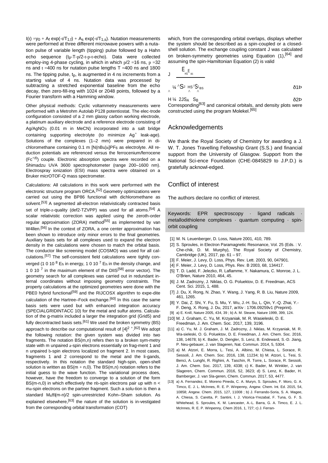$I(t) = v_0 + A_f \exp(-t/T_{1,f}) + A_s \exp(-t/T_{1,s})$ . Nutation measurements were performed at three different microwave powers with a nutation pulse of variable length (tipping) pulse followed by a Hahn echo sequence (tp-T-p/2-t-p-t-echo). Data were collected employ-ing 4-phase cycling, in which in which  $p/2 = 16$  ns,  $p = 32$ ns and  $t = 400$  ns for nutation pulse lengths T = 400 ns and 1800 ns. The tipping pulse,  $t_p$ , is augmented in 4 ns increments from a starting value of 4 ns. Nutation data was processed by subtracting a stretched exponential baseline from the echo decay, then zero-fill-ing with 1024 or 2048 points, followed by a Fourier transform with a Hamming window.

Other physical methods: Cyclic voltammetry measurements were performed with a Metrohm Autolab P128 potentiostat. The elec-trode configuration consisted of a 2 mm glassy carbon working electrode, a platinum auxiliary electrode and a reference electrode consisting of Ag/AgNO3 (0.01 m in MeCN) incorporated into a salt bridge containing supporting electrolyte (to minimize  $Ag^+$  leak-age). Solutions of the complexes (1–2 mm) were prepared in dichloromethane containing 0.1 m [N(nBu)4]PF6 as electrolyte. All reduction potentials are referenced versus the ferrocenium/ferrocene  $(Fc^{+/0})$  couple. Electronic absorption spectra were recorded on a Shimadzu UVA 3600 spectrophotometer (range 200–1600 nm). Electrospray ionization (ESI) mass spectra were obtained on a Bruker micrOTOF-Q mass spectrometer.

Calculations: All calculations in this work were performed with the electronic structure program ORCA.<sup>[52]</sup> Geometry optimizations were carried out using the BP86 functional with dichloromethane as solvent.<sup>[53]</sup> A segmented all-electron relativistically contracted basis set of triple-z-quality (def2-TZVPP) was used for all atoms.<sup>[54]</sup> A scalar relativistic correction was applied using the zeroth-order regular approximation (ZORA) method<sup>[55]</sup> as implemented by van W4llen.<sup>[56]</sup> In the context of ZORA, a one center approximation has been shown to introduce only minor errors to the final geometries. Auxiliary basis sets for all complexes used to expand the electron density in the calculations were chosen to match the orbital basis. The conductor like screening model (COSMO) was used for all calculations.[57] The self-consistent field calculations were tightly converged (1 0 10  $^8$  E<sub>h</sub> in energy, 1 0 10  $^7$  E<sub>h</sub> in the density change, and 1 0 10  $^7$  in the maximum element of the DIIS<sup>[58]</sup> error vector). The geometry search for all complexes was carried out in redundant internal coordinates without imposing geometry constraints. The property calculations at the optimized geometries were done with the PBE0 hybrid functional<sup>[59]</sup> and the RIJCOSX algorithm to expe-dite calculation of the Hartree–Fock exchange.<sup>[60]</sup> In this case the same basis sets were used but with enhanced integration accuracy (SPECIALGRIDINTACC 10) for the metal and sulfur atoms. Calculation of the g-matrix included a larger the integration grid (Grid5) and fully decontracted basis sets.<sup>[61]</sup> We used the broken symmetry (BS) approach to describe our computational result of  $[4]^{2+,[62]}$  We adopt the following notation: the given system was divided into two fragments. The notation BS(m,n) refers then to a broken sym-metry state with m unpaired a-spin electrons essentially on frag-ment 1 and n unpaired b-spin electrons localized on fragment 2. In most cases, fragments 1 and 2 correspond to the metal and the li-gands, respectively. In this notation the standard high-spin, open-shell solution is written as  $BS(m + n, 0)$ . The  $BS(m, n)$  notation refers to the initial guess to the wave function. The variational process does, however, have the freedom to converge to a solution of the form BS( $m$ -n,0) in which effectively the nb-spin electrons pair up with  $n <$ ma-spin electrons on the partner fragment. Such a solu-tion is then a standard Msffi(m-n)/2 spin-unrestricted Kohn–Sham solution. As explained elsewhere.<sup>[63]</sup> the nature of the solution is in-vestigated from the corresponding orbital transformation (COT)

which, from the corresponding orbital overlaps, displays whether the system should be described as a spin-coupled or a closedshell solution. The exchange coupling constant J was calculated on broken-symmetry geometries using Equation (1),<sup>[64]</sup> and assuming the spin-Hamiltonian Equation (2) is valid

$$
J \frac{E_{HS}E_{BS}}{N^2 \Delta S^2 \Delta S^2}
$$

 $H\%$  2JS<sub>A</sub> S<sub>B</sub>  $\delta$ 2Þ Corresponding<sup>[63]</sup> and canonical orbitals, and density plots were constructed using the program Molekel.<sup>[65]</sup>

# Acknowledgements

We thank the Royal Society of Chemistry for awarding a J. W. T. Jones Travelling Fellowship Grant (S.S.) and financial support from the University of Glasgow. Support from the National Sci-ence Foundation (CHE-0845829 to J.P.D.) is gratefully acknowl-edged.

# Conflict of interest

The authors declare no conflict of interest.

Keywords: EPR spectroscopy · ligand radicals metallodithiolene complexes · quantum computing · spinorbit coupling

- [1] M. N. Leuenberger, D. Loss, Nature 2001, 410, 789.
- [2] S. Sproules, in Electron Paramagnetic Resonance, Vol. 25 (Eds. : V. Che-chik, D. M. Murphy), The Royal Society of Chemistry, Cambridge (UK), 2017, pp. 61 – 97.
- [3] F. Meier, J. Levy, D. Loss, Phys. Rev. Lett. 2003, 90, 047901.
- [4] F. Meier, J. Levy, D. Loss, Phys. Rev. B 2003, 68, 134417.
- [5] T. D. Ladd, F. Jelezko, R. Laflamme, Y. Nakamura, C. Monroe, J. L. O'Brien, [Nature 2010, 464, 45.](https://doi.org/10.1038/nature08812)
- [6] J. M. Zadrozny, J. Niklas, O. G. Poluektov, D. E. Freedman[, ACS](https://doi.org/10.1021/acscentsci.5b00338)  [Cent. Sci. 2015, 1, 488.](https://doi.org/10.1021/acscentsci.5b00338)
- [7] J. Du, X. Rong, N. Zhao, Y. Wang, J. Yang, R. B. Liu[, Nature 2009,](https://doi.org/10.1038/nature08470)  [461, 1265.](https://doi.org/10.1038/nature08470)
- [8] Y. Dai, Z. Shi, Y. Fu, S. Mu, Y. Wu, J.-H. Su, L. Qin, Y.-Q. Zhai, Y.- F. Deng, X. Rong, J. Du, 2017, arXiv : 1706.09259v1 (Preprint).
- [9] a) E. Knill[, Nature 2005, 434, 39 ;](https://doi.org/10.1038/nature03350) b) A. M. Steane[, Nature 1999, 399, 124.](https://doi.org/10.1038/20127)
- [10] M. J. Graham, C. Yu, M. Krzyaniak, M. R. Wasieleski, D. E. Freedman[, J. Am. Chem. Soc. 2017, 139, 3196.](https://doi.org/10.1021/jacs.6b13030)
- [11] a) C. Yu, M. J. Graham, J. M. Zadrozny, J. Niklas, M. Krzyaniak, M. R. Wa-sieleski, O. G. Poluektov, D. E. Freedman, [J. Am. Chem. Soc. 2016,](https://doi.org/10.1021/jacs.6b08467)  [138, 14678; b](https://doi.org/10.1021/jacs.6b08467)) K. Bader, D. Dengler, S. Lenz, B. Endeward, S.-D. Jiang, P. Neu-gebauer, J. van Slageren, Nat. Commun. 2014, 5, 5304.
- [12] a) M. Atzori, E. Morra, L. Tesi, A. Albino, M. Chiesa, L. Sorace, R. Sessoli, [J. Am. Chem. Soc. 2016, 138, 11234; b](https://doi.org/10.1021/jacs.6b05574)) M. Atzori, L. Tesi, S. Benci, A. Lunghi, R. Righini, A. Taschin, R. Torre, L. Sorace, R. Sessoli, [J. Am. Chem. Soc. 2017, 139, 4338; c](https://doi.org/10.1021/jacs.7b01266)) K. Bader, M. Winkler, J. van Slageren, [Chem. Commun. 2016, 52, 3623; d](https://doi.org/10.1039/C6CC00300A)) S. Lenz, K. Bader, H. Bamberger, J. van Sla-geren[, Chem. Commun. 2017, 53, 4477.](https://doi.org/10.1039/C6CC07813C)
- [13] a) A. Fernandez, E. Moreno Pineda, C. A. Muryn, S. Sproules, F. Moro, G. A. Timco, E. J. L. McInnes, R. E. P. Winpenny[, Angew. Chem. Int. Ed. 2015, 54,](https://doi.org/10.1002/anie.201504487)  [10858;](https://doi.org/10.1002/anie.201504487) [Angew. Chem. 2015, 127, 11008 ;](https://doi.org/10.1002/ange.201504487) b) J. Ferrando-Soria, S. A. Magee, A. Chiesa, S. Caretta, P. Santini, I. J. Vitorica-Yrezabal, F. Tuna, G. F. S. Whitehead, S. Sproules, K. M. Lancaster, A.-L. Barra, G. A. Timco, E. J. L. McInnes, R. E. P. Winpenny[, Chem 2016, 1, 727; c](https://doi.org/10.1016/j.chempr.2016.10.001)) J. Ferran-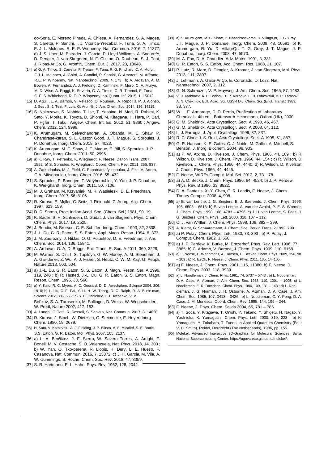do-Soria, E. Moreno Pineda, A. Chiesa, A. Fernandez, S. A. Magee, S. Caretta, P. Santini, I. J. Vitorica-Yrezabal, F. Tuna, G. A. Timco, E. J. L. McInnes, R. E. P. Winpenny, [Nat. Commun. 2016, 7, 11377;](https://doi.org/10.1038/ncomms11377)  d) J. S. Uber, M. Estrader, J. Garcia, P. Lloyd-Williams, A. Sadurn%, D. Dengler, J. van Sla-geren, N. F. Chilton, O. Roubeau, S. J. Teat, J. Ribas-AriÇo, G. Arom%[, Chem. Eur. J. 2017, 23, 13648.](https://doi.org/10.1002/chem.201702171) 

- [14] a) G. A. Timco, S. Carretta, F. Troiani, F. Tuna, R. G. Pritchard, C. A. Muryn, E. J. L. McInnes, A. Ghirri, A. Candini, P. Santini, G. Amoretti, M. Affronte, R. E. P. Winpenny[, Nat. Nanotechnol. 2009, 4, 173 ;](https://doi.org/10.1038/nnano.2008.404) b) A. Ardavan, A. M. Bowen, A. Fernandez, A. J. Fielding, D. Kaminski, F. Moro, C. A. Muryn, M. D. Wise, A. Ruggi, K. Severin, G. A. Timco, C. R. Timmel, F. Tuna, G. F. S. Whitehead, R. E. P. Winpenny, npj Quant. Inf. 2015, 1, 15012.
- [15] D. Aguil, L. A. Barrios, V. Velasco, O. Roubeau, A. Repoll s, P. J. Alonso, J. Ses , S. J. Teat, F. Luis, G. Arom%, [J. Am. Chem. Soc. 2014, 136, 14215.](https://doi.org/10.1021/ja507809w)
- [16] S. Nakazawa, S. Nishida, T. Ise, T. Yoshino, N. Mori, R. Rahimi, K. Sato, Y. Morita, K. Toyota, D. Shiomi, M. Kitagawa, H. Hara, P. Carl, P. Hçfer, T. Takui, [Angew. Chem. Int. Ed. 2012, 51, 9860 ;](https://doi.org/10.1002/anie.201204489) [Angew.](https://doi.org/10.1002/ange.201204489)  [Chem. 2012, 124, 9998.](https://doi.org/10.1002/ange.201204489)
- [17] K. Arumugam, M. Selvachandran, A. Obanda, M. C. Shaw, P. Chandrase-karan, S. L. Caston Good, J. T. Mague, S. Sproules, J. P. Donahue, [Inorg. Chem. 2018, 57, 4023.](https://doi.org/10.1021/acs.inorgchem.8b00201)
- [18] K. Arumugam, M. C. Shaw, J. T. Mague, E. Bill, S. Sproules, J. P. Donahue[, Inorg. Chem. 2011, 50, 2995.](https://doi.org/10.1021/ic102493g)
- [19] a) K. Ray, T. Petrenko, K. Wieghardt, F. Neese, [Dalton Trans. 2007,](https://doi.org/10.1039/b700096k)  [1552; b](https://doi.org/10.1039/b700096k)) S. Sproules, K. Wieghardt, [Coord. Chem. Rev. 2011, 255, 837.](https://doi.org/10.1016/j.ccr.2010.12.006)
- [20] A. Zarkadoulas, M. J. Field, C. Papatriantafyllopoulou, J. Fize, V. Artero, C. A. Mitsopoulou, [Inorg. Chem. 2016, 55, 432.](https://doi.org/10.1021/acs.inorgchem.5b02000)
- [21] S. Sproules, P. Banerjee, T. Weyherm4ller, Y. Yan, J. P. Donahue, K. Wie-ghardt, [Inorg. Chem. 2011, 50, 7106.](https://doi.org/10.1021/ic2006265)
- [22] M. J. Graham, M. Krzyaniak, M. R. Wasieleski, D. E. Freedman, [Inorg. Chem. 2017, 56, 8106.](https://doi.org/10.1021/acs.inorgchem.7b00794)
- [23] R. Kirmse, E. Mçller, C. Seitz, J. Reinhold[, Z. Anorg. Allg. Chem.](https://doi.org/10.1002/zaac.19976230127)  [1997, 623, 159.](https://doi.org/10.1002/zaac.19976230127)
- [24] D. D. Sarma, Proc. Indian Acad. Soc. (Chem. Sci.) 1981, 90, 19.
- [25] K. Bader, S. H. Schlindein, D. Gudat, J. van Slageren, Phys. Chem. [Chem. Phys. 2017, 19, 2525.](https://doi.org/10.1039/C6CP08161D)
- [26] J. Bendix, M. Brorson, C. E. Sch ffer[, Inorg. Chem. 1993, 32, 2838.](https://doi.org/10.1021/ic00065a010)
- [27] J.-L. Du, G. R. Eaton, S. S. Eaton, [Appl. Magn. Reson. 1994, 6, 373.](https://doi.org/10.1007/BF03162630)
- [28] J. M. Zadrozny, J. Niklas, O. G. Poluektov, D. E. Freedman[, J. Am.](https://doi.org/10.1021/ja507846k)  [Chem. Soc. 2014, 136, 15841.](https://doi.org/10.1021/ja507846k)
- [29] A. Ardavan, G. A. D. Briggs[, Phil. Trans. R. Soc. A 2011, 369, 3229.](https://doi.org/10.1098/rsta.2011.0009)
- [30] M. Warner, S. Din, I. S. Tupitsyn, G. W. Morley, A. M. Stoneham, J. A. Gar-dener, Z. Wu, A. J. Fisher, S. Heutz, C. W. M. Kay, G. Aeppli, [Nature 2013, 503, 504.](https://doi.org/10.1038/nature12597)
- [31] a) J.-L. Du, G. R. Eaton, S. S. Eaton, [J. Magn. Reson. Ser. A 1996,](https://doi.org/10.1006/jmra.1996.0079)  [119, 240 ;](https://doi.org/10.1006/jmra.1996.0079) b) R. Husted, J.-L. Du, G. R. Eaton, S. S. Eaton, [Magn.](https://doi.org/10.1002/mrc.1260331312)  [Reson. Chem. 1995, 33, S66.](https://doi.org/10.1002/mrc.1260331312)
- [32] a) Y. Kato, R. C. Myers, A. C. Gossard, D. D. Awschalom, Science 2004, 306, [1910; b](https://doi.org/10.1126/science.1105514)) L. Liu, C.-F. Pai, Y. Li, H. W. Tseng, D. C. Ralph, R. A. Burhr-man, [Science 2012, 336, 555 ;](https://doi.org/10.1126/science.1218197) c) S. D. Ganichev, E. L. Ivchenko, V. V. Bel'kov, S. A. Tarasenko, M. Sollinger, D. Weiss, W. Wegscheider, W. Prettl, [Nature 2002, 417, 153.](https://doi.org/10.1038/417153a)
- [33] A. Lunghi, F. Totti, R. Sessoli, S. Sanvito[, Nat. Commun. 2017, 8, 14620.](https://doi.org/10.1038/ncomms14620)
- [34] R. Kirmse, J. Stach, W. Dietzsch, G. Steimecke, E. Hoyer, [Inorg.](https://doi.org/10.1021/ic50211a040)  [Chem. 1980, 19, 2679.](https://doi.org/10.1021/ic50211a040)
- [35] H. Sato, V. Kathirvelu, A. J. Fielding, J. P. Blinco, A. S. Micallef, S. E. Bottle, S. S. Eaton, G. R. Eaton[, Mol. Phys. 2007, 105, 2137.](https://doi.org/10.1080/00268970701724966)
- [36] a) L. A. Ben%tez, J. F. Sierra, W. Savero Torres, A. Arrighi, F. Bonell, M. V. Costache, S. O. Valenzuela[, Nat. Phys. 2018, 14, 303 ;](https://doi.org/10.1038/s41567-017-0019-2) b) W. Yan, O. Txo-perena, R. Llopis, H. Dery, L. E. Hueso, F. Casanova, [Nat. Commun. 2016, 7, 13372; c](https://doi.org/10.1038/ncomms13372)) J. H. Garcia, M. Vila, A. W. Cummings, S. Roche[, Chem. Soc. Rev. 2018, 47, 3359.](https://doi.org/10.1039/C7CS00864C)
- [37] S. R. Hartmann, E. L. Hahn[, Phys. Rev. 1962, 128, 2042.](https://doi.org/10.1103/PhysRev.128.2042)
- [38] a) K. Arumugam, M. C. Shaw, P. Chandrasekaran, D. VillagrQn, T. G. Gray, J.T. Mague, J. P. Donahue, [Inorg. Chem. 2009, 48, 10591; b](https://doi.org/10.1021/ic901257s)) K. Arumu-gam, R. Yu, D. VillagrQn, T. G. Gray, J. T. Mague, J. P. Donahue[, Inorg. Chem. 2008, 47, 5570.](https://doi.org/10.1021/ic800880s)
- [39] M. A. Fox, D. A. Chandler[, Adv. Mater. 1991, 3, 381.](https://doi.org/10.1002/adma.19910030709)
- [40] G. R. Eaton, S. S. Eaton[, Acc. Chem. Res. 1988, 21, 107.](https://doi.org/10.1021/ar00147a003)
- [41] P. Lutz, R. Marx, D. Dengler, A. Kromer, J. van Slageren, Mol. Phys. [2013, 111, 2897.](https://doi.org/10.1080/00268976.2013.826421)
- [42] J. Lehmann, A. Gaita-AriÇo, E. Coronado, D. Loss, [Nat.](https://doi.org/10.1038/nnano.2007.110)  [Nanotechnol. 2007, 2, 312.](https://doi.org/10.1038/nnano.2007.110)
- [43] G. N. Schrauzer, V. P. Mayweg[, J. Am. Chem. Soc. 1965, 87, 1483.](https://doi.org/10.1021/ja01085a014)
- [44] V. D. Makhaev, A. P. Borisov, T. P. Karpova, E. B. Lobkovskii, B. P. Tarasov, A. N. Chekhlov, Bull. Acad. Sci. USSR Div. Chem. Sci. (Engl. Transl.) 1989, 38, 377.
- [45] W. L. F. Armarego, D. D. Perrin, Purification of Laboratory Chemicals, 4th ed. , Butterworth-Heinemann, Oxford (UK), 2000.
- [46] G. M. Sheldrick[, Acta Crystallogr. Sect. A 1990, 46, 467.](https://doi.org/10.1107/S0108767390000277)
- [47] G. M. Sheldrick[, Acta Crystallogr. Sect. A 2008, 64, 112.](https://doi.org/10.1107/S0108767307043930)
- [48] L. J. Farrugia[, J. Appl. Crystallogr. 1999, 32, 837.](https://doi.org/10.1107/S0021889899006020)
- [49] R. C. Clark, J. S. Reid[, Acta Crystallogr. Sect. A 1995, 51, 887.](https://doi.org/10.1107/S0108767395007367)
- [50] G. R. Hanson, K. E. Gates, C. J. Noble, M. Griffin, A. Mitchell, S. Benson[, J. Inorg. Biochem. 2004, 98, 903.](https://doi.org/10.1016/j.jinorgbio.2004.02.003)
- [51] a) P. W. Atkins, D. Kivelson, [J. Chem. Phys. 1966, 44, 169 ;](https://doi.org/10.1063/1.1726440) b) R. Wilson, D. Kivelson[, J. Chem. Phys. 1966, 44, 154 ;](https://doi.org/10.1063/1.1726439) c) R. Wilson, D. Kivelson, [J. Chem. Phys. 1966, 44, 4440; d](https://doi.org/10.1063/1.1726658)) R. Wilson, D. Kivelson, [J. Chem. Phys. 1966, 44, 4445.](https://doi.org/10.1063/1.1726659)
- [52] F. Neese[, WIREs Comput. Mol. Sci. 2012, 2, 73](https://doi.org/10.1002/wcms.81)  78.
- [53] a) A. D. Becke[, J. Chem. Phys. 1986, 84, 4524; b](https://doi.org/10.1063/1.450025)) J. P. Perdew, [Phys. Rev. B 1986, 33, 8822.](https://doi.org/10.1103/PhysRevB.33.8822)
- [54] D. A. Pantazis, X.-Y. Chen, C. R. Landis, F. Neese[, J. Chem.](https://doi.org/10.1021/ct800047t)  [Theory Comput. 2008, 4, 908.](https://doi.org/10.1021/ct800047t)
- [55] a) E. van Lenthe, J. G. Snijders, E. J. Baerends[, J. Chem. Phys. 1996,](https://doi.org/10.1063/1.472460)  [105, 6](https://doi.org/10.1063/1.472460)505 – [6516; b](https://doi.org/10.1063/1.472460)) E. van Lenthe, A. van der Avoird, P. E. S. Wormer, [J. Chem. Phys. 1998, 108, 4783](https://doi.org/10.1063/1.475889) – 4796; c) J. H. van Lenthe, S. Faas, J. G. Snijders[, Chem. Phys. Lett. 2000, 328, 107](https://doi.org/10.1016/S0009-2614(00)00832-0) – 112.
- [56] C. J. van W4llen, [J. Chem. Phys. 1998, 109, 392](https://doi.org/10.1063/1.476576)  399.
- [57] A. Klamt, G. Sch44ramann[, J. Chem. Soc. Perkin Trans. 2 1993, 799.](https://doi.org/10.1039/P29930000799)
- [58] a) P. Pulay, [Chem. Phys. Lett. 1980, 73, 393 ;](https://doi.org/10.1016/0009-2614(80)80396-4) b) P. Pulay[, J.](https://doi.org/10.1002/jcc.540030413)  [Comput. Chem. 1982, 3, 556.](https://doi.org/10.1002/jcc.540030413)
- [59] a) J. P. Perdew, K. Burke, M. Ernzerhof[, Phys. Rev. Lett. 1996, 77,](https://doi.org/10.1103/PhysRevLett.77.3865)  [3865;](https://doi.org/10.1103/PhysRevLett.77.3865) b) C. Adamo, V. Barone[, J. Chem. Phys. 1999, 110, 6158.](https://doi.org/10.1063/1.478522)
- [60] a) F. Neese, F. Wennmohs, A. Hansen, U. Becker[, Chem. Phys. 2009, 356, 98](https://doi.org/10.1016/j.chemphys.2008.10.036)  – [109 ;](https://doi.org/10.1016/j.chemphys.2008.10.036) b) R. IzsQk, F. Neese[, J. Chem. Phys. 2011, 135, 144105.](https://doi.org/10.1063/1.3646921)
- [61] a) F. Neese[, J. Chem. Phys. 2001, 115, 11080; b](https://doi.org/10.1063/1.1419058)) F. Neese[, J.](https://doi.org/10.1063/1.1540619)  [Chem. Phys. 2003, 118, 3939.](https://doi.org/10.1063/1.1540619)
- [62] a) L. Noodleman[, J. Chem. Phys. 1981, 74, 5737](https://doi.org/10.1063/1.440939)  5743 ; b) L. Noodleman, D. A. Case, A. Aizman, [J. Am. Chem. Soc. 1988, 110, 1001](https://doi.org/10.1021/ja00212a003) – 1005; c) L. Noodleman, E. R. Davidson, [Chem. Phys. 1986, 109, 131](https://doi.org/10.1016/0301-0104(86)80192-6) – 143 ; d) L. Noodleman, J. G. Norman, J. H. Osborne, A. Aizman, D. A. Case, [J. Am.](https://doi.org/10.1021/ja00298a004)  [Chem. Soc. 1985, 107, 3418](https://doi.org/10.1021/ja00298a004) – 3426 ; e) L. Noodleman, C. Y. Peng, D. A. Case, J. M. Monesca[, Coord. Chem. Rev. 1995, 144, 199](https://doi.org/10.1016/0010-8545(95)07011-L) – 244.
- [63] F. Neese[, J. Phys. Chem. Solids 2004, 65, 781](https://doi.org/10.1016/j.jpcs.2003.11.015)  785.
- [64] a) T. Soda, Y. Kitagawa, T. Onishi, Y. Takano, Y. Shigetu, H. Nagao, Y. Yosh-ioka, K. Yamaguchi, [Chem. Phys. Lett. 2000, 319, 223 ;](https://doi.org/10.1016/S0009-2614(00)00166-4) b) K. Yamaguchi, Y. Takahara, T. Fueno, in Applied Quantum Chemistry (Ed. : V. H. Smith), Reidel, Dordrecht (The Netherlands), 1986, pp. 155.
- [65] Molekel, Advanced Interactive 3D-Graphics for Molecular Sciences, Swiss National Supercomputing Center. https://ugovaretto.github.io/molekel/.